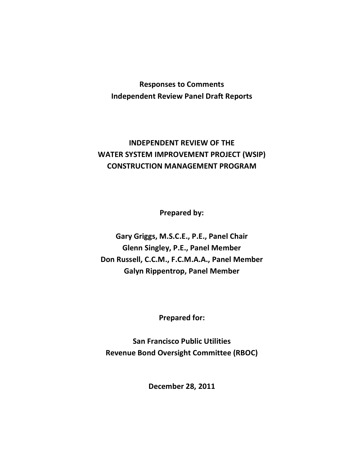## **Responses to Comments Independent Review Panel Draft Reports**

## **INDEPENDENT REVIEW OF THE WATER SYSTEM IMPROVEMENT PROJECT (WSIP) CONSTRUCTION MANAGEMENT PROGRAM**

**Prepared by:**

**Gary Griggs, M.S.C.E., P.E., Panel Chair Glenn Singley, P.E., Panel Member Don Russell, C.C.M., F.C.M.A.A., Panel Member Galyn Rippentrop, Panel Member**

**Prepared for:**

**San Francisco Public Utilities Revenue Bond Oversight Committee (RBOC)**

**December 28, 2011**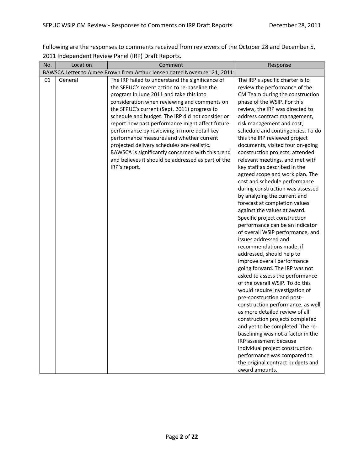Following are the responses to comments received from reviewers of the October 28 and December 5, 2011 Independent Review Panel (IRP) Draft Reports.

| No. | Location | Comment                                                                  | Response                           |
|-----|----------|--------------------------------------------------------------------------|------------------------------------|
|     |          | BAWSCA Letter to Aimee Brown from Arthur Jensen dated November 21, 2011: |                                    |
| 01  | General  | The IRP failed to understand the significance of                         | The IRP's specific charter is to   |
|     |          | the SFPUC's recent action to re-baseline the                             | review the performance of the      |
|     |          | program in June 2011 and take this into                                  | CM Team during the construction    |
|     |          | consideration when reviewing and comments on                             | phase of the WSIP. For this        |
|     |          | the SFPUC's current (Sept. 2011) progress to                             | review, the IRP was directed to    |
|     |          | schedule and budget. The IRP did not consider or                         | address contract management,       |
|     |          | report how past performance might affect future                          | risk management and cost,          |
|     |          | performance by reviewing in more detail key                              | schedule and contingencies. To do  |
|     |          | performance measures and whether current                                 | this the IRP reviewed project      |
|     |          | projected delivery schedules are realistic.                              | documents, visited four on-going   |
|     |          | BAWSCA is significantly concerned with this trend                        | construction projects, attended    |
|     |          | and believes it should be addressed as part of the                       | relevant meetings, and met with    |
|     |          | IRP's report.                                                            | key staff as described in the      |
|     |          |                                                                          | agreed scope and work plan. The    |
|     |          |                                                                          | cost and schedule performance      |
|     |          |                                                                          | during construction was assessed   |
|     |          |                                                                          | by analyzing the current and       |
|     |          |                                                                          | forecast at completion values      |
|     |          |                                                                          | against the values at award.       |
|     |          |                                                                          | Specific project construction      |
|     |          |                                                                          | performance can be an indicator    |
|     |          |                                                                          | of overall WSIP performance, and   |
|     |          |                                                                          | issues addressed and               |
|     |          |                                                                          | recommendations made, if           |
|     |          |                                                                          | addressed, should help to          |
|     |          |                                                                          | improve overall performance        |
|     |          |                                                                          | going forward. The IRP was not     |
|     |          |                                                                          | asked to assess the performance    |
|     |          |                                                                          | of the overall WSIP. To do this    |
|     |          |                                                                          | would require investigation of     |
|     |          |                                                                          | pre-construction and post-         |
|     |          |                                                                          | construction performance, as well  |
|     |          |                                                                          | as more detailed review of all     |
|     |          |                                                                          | construction projects completed    |
|     |          |                                                                          | and yet to be completed. The re-   |
|     |          |                                                                          | baselining was not a factor in the |
|     |          |                                                                          | IRP assessment because             |
|     |          |                                                                          | individual project construction    |
|     |          |                                                                          | performance was compared to        |
|     |          |                                                                          | the original contract budgets and  |
|     |          |                                                                          | award amounts.                     |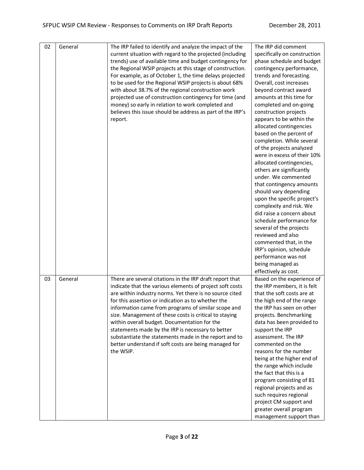| 02 | General | The IRP failed to identify and analyze the impact of the<br>current situation with regard to the projected (including<br>trends) use of available time and budget contingency for<br>the Regional WSIP projects at this stage of construction.<br>For example, as of October 1, the time delays projected<br>to be used for the Regional WSIP projects is about 68%<br>with about 38.7% of the regional construction work<br>projected use of construction contingency for time (and<br>money) so early in relation to work completed and<br>believes this issue should be address as part of the IRP's<br>report. | The IRP did comment<br>specifically on construction<br>phase schedule and budget<br>contingency performance,<br>trends and forecasting.<br>Overall, cost increases<br>beyond contract award<br>amounts at this time for<br>completed and on-going<br>construction projects<br>appears to be within the<br>allocated contingencies<br>based on the percent of<br>completion. While several<br>of the projects analyzed<br>were in excess of their 10%<br>allocated contingencies,<br>others are significantly<br>under. We commented<br>that contingency amounts<br>should vary depending<br>upon the specific project's<br>complexity and risk. We<br>did raise a concern about<br>schedule performance for<br>several of the projects<br>reviewed and also<br>commented that, in the<br>IRP's opinion, schedule<br>performance was not<br>being managed as |
|----|---------|--------------------------------------------------------------------------------------------------------------------------------------------------------------------------------------------------------------------------------------------------------------------------------------------------------------------------------------------------------------------------------------------------------------------------------------------------------------------------------------------------------------------------------------------------------------------------------------------------------------------|-------------------------------------------------------------------------------------------------------------------------------------------------------------------------------------------------------------------------------------------------------------------------------------------------------------------------------------------------------------------------------------------------------------------------------------------------------------------------------------------------------------------------------------------------------------------------------------------------------------------------------------------------------------------------------------------------------------------------------------------------------------------------------------------------------------------------------------------------------------|
| 03 | General | There are several citations in the IRP draft report that<br>indicate that the various elements of project soft costs<br>are within industry norms. Yet there is no source cited<br>for this assertion or indication as to whether the<br>information came from programs of similar scope and<br>size. Management of these costs is critical to staying<br>within overall budget. Documentation for the<br>statements made by the IRP is necessary to better<br>substantiate the statements made in the report and to<br>better understand if soft costs are being managed for<br>the WSIP.                         | effectively as cost.<br>Based on the experience of<br>the IRP members, it is felt<br>that the soft costs are at<br>the high end of the range<br>the IRP has seen on other<br>projects. Benchmarking<br>data has been provided to<br>support the IRP<br>assessment. The IRP<br>commented on the<br>reasons for the number<br>being at the higher end of<br>the range which include<br>the fact that this is a<br>program consisting of 81<br>regional projects and as<br>such requires regional<br>project CM support and<br>greater overall program<br>management support than                                                                                                                                                                                                                                                                              |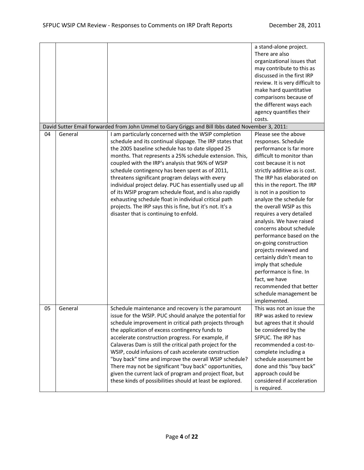|    |         |                                                                                                   | a stand-alone project.          |
|----|---------|---------------------------------------------------------------------------------------------------|---------------------------------|
|    |         |                                                                                                   | There are also                  |
|    |         |                                                                                                   | organizational issues that      |
|    |         |                                                                                                   | may contribute to this as       |
|    |         |                                                                                                   | discussed in the first IRP      |
|    |         |                                                                                                   | review. It is very difficult to |
|    |         |                                                                                                   | make hard quantitative          |
|    |         |                                                                                                   | comparisons because of          |
|    |         |                                                                                                   | the different ways each         |
|    |         |                                                                                                   | agency quantifies their         |
|    |         |                                                                                                   | costs.                          |
|    |         | David Sutter Email forwarded from John Ummel to Gary Griggs and Bill Ibbs dated November 3, 2011: |                                 |
| 04 | General | I am particularly concerned with the WSIP completion                                              | Please see the above            |
|    |         | schedule and its continual slippage. The IRP states that                                          | responses. Schedule             |
|    |         | the 2005 baseline schedule has to date slipped 25                                                 | performance Is far more         |
|    |         | months. That represents a 25% schedule extension. This,                                           | difficult to monitor than       |
|    |         | coupled with the IRP's analysis that 96% of WSIP                                                  | cost because it is not          |
|    |         | schedule contingency has been spent as of 2011,                                                   | strictly additive as is cost.   |
|    |         | threatens significant program delays with every                                                   | The IRP has elaborated on       |
|    |         | individual project delay. PUC has essentially used up all                                         | this in the report. The IRP     |
|    |         | of its WSIP program schedule float, and is also rapidly                                           | is not in a position to         |
|    |         |                                                                                                   | analyze the schedule for        |
|    |         | exhausting schedule float in individual critical path                                             | the overall WSIP as this        |
|    |         | projects. The IRP says this is fine, but it's not. It's a                                         |                                 |
|    |         | disaster that is continuing to enfold.                                                            | requires a very detailed        |
|    |         |                                                                                                   | analysis. We have raised        |
|    |         |                                                                                                   | concerns about schedule         |
|    |         |                                                                                                   | performance based on the        |
|    |         |                                                                                                   | on-going construction           |
|    |         |                                                                                                   | projects reviewed and           |
|    |         |                                                                                                   | certainly didn't mean to        |
|    |         |                                                                                                   | imply that schedule             |
|    |         |                                                                                                   | performance is fine. In         |
|    |         |                                                                                                   | fact, we have                   |
|    |         |                                                                                                   | recommended that better         |
|    |         |                                                                                                   | schedule management be          |
|    |         |                                                                                                   | implemented.                    |
| 05 | General | Schedule maintenance and recovery is the paramount                                                | This was not an issue the       |
|    |         | issue for the WSIP. PUC should analyze the potential for                                          | IRP was asked to review         |
|    |         | schedule improvement in critical path projects through                                            | but agrees that it should       |
|    |         | the application of excess contingency funds to                                                    | be considered by the            |
|    |         | accelerate construction progress. For example, if                                                 | SFPUC. The IRP has              |
|    |         | Calaveras Dam is still the critical path project for the                                          | recommended a cost-to-          |
|    |         | WSIP, could infusions of cash accelerate construction                                             | complete including a            |
|    |         | "buy back" time and improve the overall WSIP schedule?                                            | schedule assessment be          |
|    |         | There may not be significant "buy back" opportunities,                                            | done and this "buy back"        |
|    |         | given the current lack of program and project float, but                                          | approach could be               |
|    |         | these kinds of possibilities should at least be explored.                                         | considered if acceleration      |
|    |         |                                                                                                   | is required.                    |
|    |         |                                                                                                   |                                 |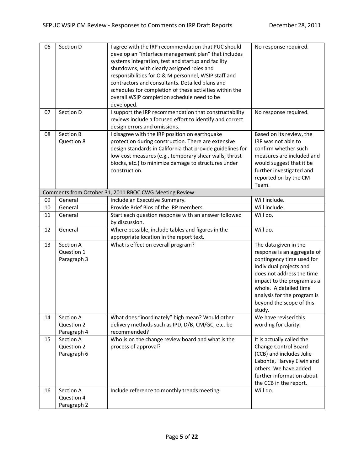| 06<br>07 | Section D<br>Section D                 | I agree with the IRP recommendation that PUC should<br>develop an "interface management plan" that includes<br>systems integration, test and startup and facility<br>shutdowns, with clearly assigned roles and<br>responsibilities for O & M personnel, WSIP staff and<br>contractors and consultants. Detailed plans and<br>schedules for completion of these activities within the<br>overall WSIP completion schedule need to be<br>developed.<br>I support the IRP recommendation that constructability | No response required.                                                                                                                                                                                                                                                  |
|----------|----------------------------------------|--------------------------------------------------------------------------------------------------------------------------------------------------------------------------------------------------------------------------------------------------------------------------------------------------------------------------------------------------------------------------------------------------------------------------------------------------------------------------------------------------------------|------------------------------------------------------------------------------------------------------------------------------------------------------------------------------------------------------------------------------------------------------------------------|
|          |                                        | reviews include a focused effort to identify and correct<br>design errors and omissions.                                                                                                                                                                                                                                                                                                                                                                                                                     | No response required.                                                                                                                                                                                                                                                  |
| 08       | Section B<br>Question 8                | I disagree with the IRP position on earthquake<br>protection during construction. There are extensive<br>design standards in California that provide guidelines for<br>low-cost measures (e.g., temporary shear walls, thrust<br>blocks, etc.) to minimize damage to structures under<br>construction.                                                                                                                                                                                                       | Based on its review, the<br>IRP was not able to<br>confirm whether such<br>measures are included and<br>would suggest that it be<br>further investigated and<br>reported on by the CM<br>Team.                                                                         |
|          |                                        | Comments from October 31, 2011 RBOC CWG Meeting Review:                                                                                                                                                                                                                                                                                                                                                                                                                                                      |                                                                                                                                                                                                                                                                        |
| 09       | General                                | Include an Executive Summary.                                                                                                                                                                                                                                                                                                                                                                                                                                                                                | Will include.                                                                                                                                                                                                                                                          |
| 10       | General                                | Provide Brief Bios of the IRP members.                                                                                                                                                                                                                                                                                                                                                                                                                                                                       | Will include.                                                                                                                                                                                                                                                          |
| 11       | General                                | Start each question response with an answer followed<br>by discussion.                                                                                                                                                                                                                                                                                                                                                                                                                                       | Will do.                                                                                                                                                                                                                                                               |
| 12       | General                                | Where possible, include tables and figures in the<br>appropriate location in the report text.                                                                                                                                                                                                                                                                                                                                                                                                                | Will do.                                                                                                                                                                                                                                                               |
| 13       | Section A<br>Question 1<br>Paragraph 3 | What is effect on overall program?                                                                                                                                                                                                                                                                                                                                                                                                                                                                           | The data given in the<br>response is an aggregate of<br>contingency time used for<br>individual projects and<br>does not address the time<br>impact to the program as a<br>whole. A detailed time<br>analysis for the program is<br>beyond the scope of this<br>study. |
| 14       | Section A<br>Question 2<br>Paragraph 4 | What does "inordinately" high mean? Would other<br>delivery methods such as IPD, D/B, CM/GC, etc. be<br>recommended?                                                                                                                                                                                                                                                                                                                                                                                         | We have revised this<br>wording for clarity.                                                                                                                                                                                                                           |
| 15       | Section A<br>Question 2<br>Paragraph 6 | Who is on the change review board and what is the<br>process of approval?                                                                                                                                                                                                                                                                                                                                                                                                                                    | It is actually called the<br>Change Control Board<br>(CCB) and includes Julie<br>Labonte, Harvey Elwin and<br>others. We have added<br>further information about<br>the CCB in the report.                                                                             |
| 16       | Section A<br>Question 4<br>Paragraph 2 | Include reference to monthly trends meeting.                                                                                                                                                                                                                                                                                                                                                                                                                                                                 | Will do.                                                                                                                                                                                                                                                               |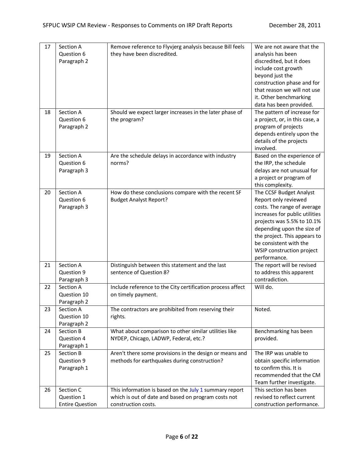| 17<br>18 | Section A<br>Question 6<br>Paragraph 2<br>Section A | Remove reference to Flyvjerg analysis because Bill feels<br>they have been discredited.<br>Should we expect larger increases in the later phase of | We are not aware that the<br>analysis has been<br>discredited, but it does<br>include cost growth<br>beyond just the<br>construction phase and for<br>that reason we will not use<br>it. Other benchmarking<br>data has been provided.<br>The pattern of increase for               |
|----------|-----------------------------------------------------|----------------------------------------------------------------------------------------------------------------------------------------------------|-------------------------------------------------------------------------------------------------------------------------------------------------------------------------------------------------------------------------------------------------------------------------------------|
|          | Question 6<br>Paragraph 2                           | the program?                                                                                                                                       | a project, or, in this case, a<br>program of projects<br>depends entirely upon the<br>details of the projects<br>involved.                                                                                                                                                          |
| 19       | Section A<br>Question 6<br>Paragraph 3              | Are the schedule delays in accordance with industry<br>norms?                                                                                      | Based on the experience of<br>the IRP, the schedule<br>delays are not unusual for<br>a project or program of<br>this complexity.                                                                                                                                                    |
| 20       | Section A<br>Question 6<br>Paragraph 3              | How do these conclusions compare with the recent SF<br><b>Budget Analyst Report?</b>                                                               | The CCSF Budget Analyst<br>Report only reviewed<br>costs. The range of average<br>increases for public utilities<br>projects was 5.5% to 10.1%<br>depending upon the size of<br>the project. This appears to<br>be consistent with the<br>WSIP construction project<br>performance. |
| 21       | Section A<br>Question 9<br>Paragraph 3              | Distinguish between this statement and the last<br>sentence of Question 8?                                                                         | The report will be revised<br>to address this apparent<br>contradiction.                                                                                                                                                                                                            |
| 22       | Section A<br>Question 10<br>Paragraph 2             | Include reference to the City certification process affect<br>on timely payment.                                                                   | Will do.                                                                                                                                                                                                                                                                            |
| 23       | Section A<br>Question 10<br>Paragraph 2             | The contractors are prohibited from reserving their<br>rights.                                                                                     | Noted.                                                                                                                                                                                                                                                                              |
| 24       | Section B<br>Question 4<br>Paragraph 1              | What about comparison to other similar utilities like<br>NYDEP, Chicago, LADWP, Federal, etc.?                                                     | Benchmarking has been<br>provided.                                                                                                                                                                                                                                                  |
| 25       | Section B<br>Question 9<br>Paragraph 1              | Aren't there some provisions in the design or means and<br>methods for earthquakes during construction?                                            | The IRP was unable to<br>obtain specific information<br>to confirm this. It is<br>recommended that the CM<br>Team further investigate.                                                                                                                                              |
| 26       | Section C<br>Question 1<br><b>Entire Question</b>   | This information is based on the July 1 summary report<br>which is out of date and based on program costs not<br>construction costs.               | This section has been<br>revised to reflect current<br>construction performance.                                                                                                                                                                                                    |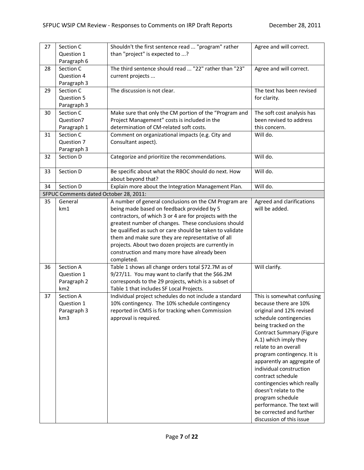| 27 | Section C                              | Shouldn't the first sentence read  "program" rather                                                  | Agree and will correct.                     |
|----|----------------------------------------|------------------------------------------------------------------------------------------------------|---------------------------------------------|
|    | Question 1                             | than "project" is expected to ?                                                                      |                                             |
|    | Paragraph 6                            |                                                                                                      |                                             |
| 28 | Section C                              | The third sentence should read  "22" rather than "23"                                                | Agree and will correct.                     |
|    | Question 4                             | current projects                                                                                     |                                             |
|    | Paragraph 3                            |                                                                                                      |                                             |
| 29 | Section C                              | The discussion is not clear.                                                                         | The text has been revised                   |
|    | Question 5                             |                                                                                                      | for clarity.                                |
|    | Paragraph 3                            |                                                                                                      |                                             |
| 30 | Section C                              | Make sure that only the CM portion of the "Program and                                               | The soft cost analysis has                  |
|    | Question7                              | Project Management" costs is included in the                                                         | been revised to address                     |
|    | Paragraph 1                            | determination of CM-related soft costs.                                                              | this concern.                               |
| 31 | Section C                              | Comment on organizational impacts (e.g. City and                                                     | Will do.                                    |
|    | Question 7                             | Consultant aspect).                                                                                  |                                             |
|    | Paragraph 3                            |                                                                                                      |                                             |
| 32 | Section D                              | Categorize and prioritize the recommendations.                                                       | Will do.                                    |
| 33 | Section D                              | Be specific about what the RBOC should do next. How                                                  | Will do.                                    |
|    |                                        | about beyond that?                                                                                   |                                             |
| 34 | Section D                              | Explain more about the Integration Management Plan.                                                  | Will do.                                    |
|    | SFPUC Comments dated October 28, 2011: |                                                                                                      |                                             |
| 35 | General                                | A number of general conclusions on the CM Program are                                                | Agreed and clarifications<br>will be added. |
|    | km1                                    | being made based on feedback provided by 5<br>contractors, of which 3 or 4 are for projects with the |                                             |
|    |                                        | greatest number of changes. These conclusions should                                                 |                                             |
|    |                                        | be qualified as such or care should be taken to validate                                             |                                             |
|    |                                        | them and make sure they are representative of all                                                    |                                             |
|    |                                        | projects. About two dozen projects are currently in                                                  |                                             |
|    |                                        | construction and many more have already been                                                         |                                             |
|    |                                        | completed.                                                                                           |                                             |
| 36 | Section A                              | Table 1 shows all change orders total \$72.7M as of                                                  | Will clarify.                               |
|    | Question 1                             | 9/27/11. You may want to clarify that the \$66.2M                                                    |                                             |
|    | Paragraph 2                            | corresponds to the 29 projects, which is a subset of                                                 |                                             |
|    | km2                                    | Table 1 that includes SF Local Projects.                                                             |                                             |
| 37 | Section A                              | Individual project schedules do not include a standard                                               | This is somewhat confusing                  |
|    | Question 1                             | 10% contingency. The 10% schedule contingency                                                        | because there are 10%                       |
|    | Paragraph 3                            | reported in CMIS is for tracking when Commission                                                     | original and 12% revised                    |
|    | km3                                    | approval is required.                                                                                | schedule contingencies                      |
|    |                                        |                                                                                                      | being tracked on the                        |
|    |                                        |                                                                                                      | <b>Contract Summary (Figure</b>             |
|    |                                        |                                                                                                      | A.1) which imply they                       |
|    |                                        |                                                                                                      | relate to an overall                        |
|    |                                        |                                                                                                      | program contingency. It is                  |
|    |                                        |                                                                                                      | apparently an aggregate of                  |
|    |                                        |                                                                                                      | individual construction                     |
|    |                                        |                                                                                                      | contract schedule                           |
|    |                                        |                                                                                                      | contingencies which really                  |
|    |                                        |                                                                                                      | doesn't relate to the                       |
|    |                                        |                                                                                                      | program schedule                            |
|    |                                        |                                                                                                      | performance. The text will                  |
|    |                                        |                                                                                                      | be corrected and further                    |
|    |                                        |                                                                                                      | discussion of this issue                    |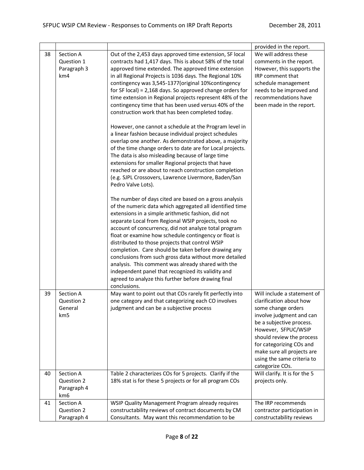|    |                 |                                                                                                             | provided in the report.       |
|----|-----------------|-------------------------------------------------------------------------------------------------------------|-------------------------------|
| 38 | Section A       | Out of the 2,453 days approved time extension, SF local                                                     | We will address these         |
|    | Question 1      | contracts had 1,417 days. This is about 58% of the total                                                    | comments in the report.       |
|    | Paragraph 3     | approved time extended. The approved time extension                                                         | However, this supports the    |
|    | km <sub>4</sub> | in all Regional Projects is 1036 days. The Regional 10%                                                     | IRP comment that              |
|    |                 | contingency was 3,545-1377 (original 10% contingency                                                        | schedule management           |
|    |                 | for SF local) = $2,168$ days. So approved change orders for                                                 | needs to be improved and      |
|    |                 | time extension in Regional projects represent 48% of the                                                    | recommendations have          |
|    |                 | contingency time that has been used versus 40% of the                                                       | been made in the report.      |
|    |                 | construction work that has been completed today.                                                            |                               |
|    |                 | However, one cannot a schedule at the Program level in                                                      |                               |
|    |                 | a linear fashion because individual project schedules                                                       |                               |
|    |                 | overlap one another. As demonstrated above, a majority                                                      |                               |
|    |                 | of the time change orders to date are for Local projects.                                                   |                               |
|    |                 | The data is also misleading because of large time                                                           |                               |
|    |                 | extensions for smaller Regional projects that have<br>reached or are about to reach construction completion |                               |
|    |                 | (e.g. SJPL Crossovers, Lawrence Livermore, Baden/San                                                        |                               |
|    |                 | Pedro Valve Lots).                                                                                          |                               |
|    |                 | The number of days cited are based on a gross analysis                                                      |                               |
|    |                 | of the numeric data which aggregated all identified time                                                    |                               |
|    |                 | extensions in a simple arithmetic fashion, did not                                                          |                               |
|    |                 | separate Local from Regional WSIP projects, took no                                                         |                               |
|    |                 | account of concurrency, did not analyze total program                                                       |                               |
|    |                 | float or examine how schedule contingency or float is                                                       |                               |
|    |                 | distributed to those projects that control WSIP                                                             |                               |
|    |                 | completion. Care should be taken before drawing any                                                         |                               |
|    |                 | conclusions from such gross data without more detailed                                                      |                               |
|    |                 | analysis. This comment was already shared with the                                                          |                               |
|    |                 | independent panel that recognized its validity and                                                          |                               |
|    |                 | agreed to analyze this further before drawing final<br>conclusions.                                         |                               |
| 39 | Section A       | May want to point out that COs rarely fit perfectly into                                                    | Will include a statement of   |
|    | Question 2      | one category and that categorizing each CO involves                                                         | clarification about how       |
|    | General         | judgment and can be a subjective process                                                                    | some change orders            |
|    | km5             |                                                                                                             | involve judgment and can      |
|    |                 |                                                                                                             | be a subjective process.      |
|    |                 |                                                                                                             | However, SFPUC/WSIP           |
|    |                 |                                                                                                             | should review the process     |
|    |                 |                                                                                                             | for categorizing COs and      |
|    |                 |                                                                                                             | make sure all projects are    |
|    |                 |                                                                                                             | using the same criteria to    |
|    |                 |                                                                                                             | categorize COs.               |
| 40 | Section A       | Table 2 characterizes COs for 5 projects. Clarify if the                                                    | Will clarify. It is for the 5 |
|    | Question 2      | 18% stat is for these 5 projects or for all program COs                                                     | projects only.                |
|    | Paragraph 4     |                                                                                                             |                               |
|    | km6             |                                                                                                             |                               |
| 41 | Section A       | WSIP Quality Management Program already requires                                                            | The IRP recommends            |
|    | Question 2      | constructability reviews of contract documents by CM                                                        | contractor participation in   |
|    | Paragraph 4     | Consultants. May want this recommendation to be                                                             | constructability reviews      |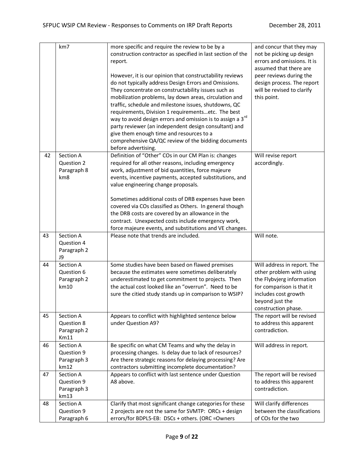|    | km7                                            | more specific and require the review to be by a<br>construction contractor as specified in last section of the<br>report.<br>However, it is our opinion that constructability reviews<br>do not typically address Design Errors and Omissions.<br>They concentrate on constructability issues such as<br>mobilization problems, lay down areas, circulation and<br>traffic, schedule and milestone issues, shutdowns, QC<br>requirements, Division 1 requirementsetc. The best<br>way to avoid design errors and omission is to assign a 3 <sup>rd</sup><br>party reviewer (an independent design consultant) and<br>give them enough time and resources to a<br>comprehensive QA/QC review of the bidding documents<br>before advertising. | and concur that they may<br>not be picking up design<br>errors and omissions. It is<br>assumed that there are<br>peer reviews during the<br>design process. The report<br>will be revised to clarify<br>this point. |
|----|------------------------------------------------|---------------------------------------------------------------------------------------------------------------------------------------------------------------------------------------------------------------------------------------------------------------------------------------------------------------------------------------------------------------------------------------------------------------------------------------------------------------------------------------------------------------------------------------------------------------------------------------------------------------------------------------------------------------------------------------------------------------------------------------------|---------------------------------------------------------------------------------------------------------------------------------------------------------------------------------------------------------------------|
| 42 | Section A<br>Question 2<br>Paragraph 8<br>km8  | Definition of "Other" COs in our CM Plan is: changes<br>required for all other reasons, including emergency<br>work, adjustment of bid quantities, force majeure<br>events, incentive payments, accepted substitutions, and<br>value engineering change proposals.<br>Sometimes additional costs of DRB expenses have been<br>covered via COs classified as Others. In general though<br>the DRB costs are covered by an allowance in the<br>contract. Unexpected costs include emergency work,<br>force majeure events, and substitutions and VE changes.                                                                                                                                                                                  | Will revise report<br>accordingly.                                                                                                                                                                                  |
| 43 | Section A<br>Question 4<br>Paragraph 2<br>J9   | Please note that trends are included.                                                                                                                                                                                                                                                                                                                                                                                                                                                                                                                                                                                                                                                                                                       | Will note.                                                                                                                                                                                                          |
| 44 | Section A<br>Question 6<br>Paragraph 2<br>km10 | Some studies have been based on flawed premises<br>because the estimates were sometimes deliberately<br>underestimated to get commitment to projects. Then<br>the actual cost looked like an "overrun". Need to be<br>sure the citied study stands up in comparison to WSIP?                                                                                                                                                                                                                                                                                                                                                                                                                                                                | Will address in report. The<br>other problem with using<br>the Flybvjerg information<br>for comparison is that it<br>includes cost growth<br>beyond just the<br>construction phase.                                 |
| 45 | Section A<br>Question 8<br>Paragraph 2<br>Km11 | Appears to conflict with highlighted sentence below<br>under Question A9?                                                                                                                                                                                                                                                                                                                                                                                                                                                                                                                                                                                                                                                                   | The report will be revised<br>to address this apparent<br>contradiction.                                                                                                                                            |
| 46 | Section A<br>Question 9<br>Paragraph 3<br>km12 | Be specific on what CM Teams and why the delay in<br>processing changes. Is delay due to lack of resources?<br>Are there strategic reasons for delaying processing? Are<br>contractors submitting incomplete documentation?                                                                                                                                                                                                                                                                                                                                                                                                                                                                                                                 | Will address in report.                                                                                                                                                                                             |
| 47 | Section A<br>Question 9<br>Paragraph 3<br>km13 | Appears to conflict with last sentence under Question<br>A8 above.                                                                                                                                                                                                                                                                                                                                                                                                                                                                                                                                                                                                                                                                          | The report will be revised<br>to address this apparent<br>contradiction.                                                                                                                                            |
| 48 | Section A<br>Question 9<br>Paragraph 6         | Clarify that most significant change categories for these<br>2 projects are not the same for SVMTP: ORCs + design<br>errors/for BDPL5-EB: DSCs + others. (ORC = Owners                                                                                                                                                                                                                                                                                                                                                                                                                                                                                                                                                                      | Will clarify differences<br>between the classifications<br>of COs for the two                                                                                                                                       |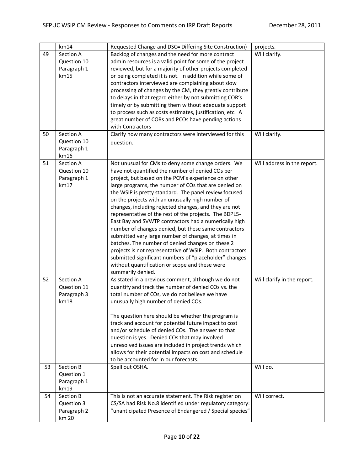|    | km14        | Requested Change and DSC= Differing Site Construction)    | projects.                   |
|----|-------------|-----------------------------------------------------------|-----------------------------|
| 49 | Section A   | Backlog of changes and the need for more contract         | Will clarify.               |
|    | Question 10 | admin resources is a valid point for some of the project  |                             |
|    | Paragraph 1 | reviewed, but for a majority of other projects completed  |                             |
|    | km15        | or being completed it is not. In addition while some of   |                             |
|    |             | contractors interviewed are complaining about slow        |                             |
|    |             | processing of changes by the CM, they greatly contribute  |                             |
|    |             | to delays in that regard either by not submitting COR's   |                             |
|    |             | timely or by submitting them without adequate support     |                             |
|    |             | to process such as costs estimates, justification, etc. A |                             |
|    |             | great number of CORs and PCOs have pending actions        |                             |
|    |             | with Contractors                                          |                             |
| 50 | Section A   | Clarify how many contractors were interviewed for this    | Will clarify.               |
|    | Question 10 | question.                                                 |                             |
|    | Paragraph 1 |                                                           |                             |
|    | km16        |                                                           |                             |
| 51 | Section A   | Not unusual for CMs to deny some change orders. We        | Will address in the report. |
|    | Question 10 | have not quantified the number of denied COs per          |                             |
|    | Paragraph 1 | project, but based on the PCM's experience on other       |                             |
|    | km17        | large programs, the number of COs that are denied on      |                             |
|    |             | the WSIP is pretty standard. The panel review focused     |                             |
|    |             | on the projects with an unusually high number of          |                             |
|    |             | changes, including rejected changes, and they are not     |                             |
|    |             | representative of the rest of the projects. The BDPL5-    |                             |
|    |             | East Bay and SVWTP contractors had a numerically high     |                             |
|    |             | number of changes denied, but these same contractors      |                             |
|    |             | submitted very large number of changes, at times in       |                             |
|    |             | batches. The number of denied changes on these 2          |                             |
|    |             | projects is not representative of WSIP. Both contractors  |                             |
|    |             | submitted significant numbers of "placeholder" changes    |                             |
|    |             | without quantification or scope and these were            |                             |
|    |             | summarily denied.                                         |                             |
| 52 | Section A   | As stated in a previous comment, although we do not       | Will clarify in the report. |
|    | Question 11 | quantify and track the number of denied COs vs. the       |                             |
|    | Paragraph 3 | total number of COs, we do not believe we have            |                             |
|    | km18        | unusually high number of denied COs.                      |                             |
|    |             |                                                           |                             |
|    |             | The question here should be whether the program is        |                             |
|    |             | track and account for potential future impact to cost     |                             |
|    |             | and/or schedule of denied COs. The answer to that         |                             |
|    |             | question is yes. Denied COs that may involved             |                             |
|    |             | unresolved issues are included in project trends which    |                             |
|    |             | allows for their potential impacts on cost and schedule   |                             |
|    |             | to be accounted for in our forecasts.                     |                             |
| 53 | Section B   | Spell out OSHA.                                           | Will do.                    |
|    | Question 1  |                                                           |                             |
|    | Paragraph 1 |                                                           |                             |
|    | km19        |                                                           |                             |
| 54 | Section B   | This is not an accurate statement. The Risk register on   | Will correct.               |
|    | Question 3  | CS/SA had Risk No.8 identified under regulatory category: |                             |
|    | Paragraph 2 | "unanticipated Presence of Endangered / Special species"  |                             |
|    | km 20       |                                                           |                             |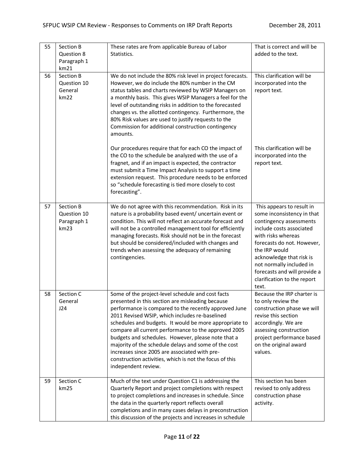| 55 | Section B<br>Question 8<br>Paragraph 1<br>km21  | These rates are from applicable Bureau of Labor<br>Statistics.                                                                                                                                                                                                                                                                                                                                                                                                                                                                                                                      | That is correct and will be<br>added to the text.                                                                                                                                                                                                                                                                   |
|----|-------------------------------------------------|-------------------------------------------------------------------------------------------------------------------------------------------------------------------------------------------------------------------------------------------------------------------------------------------------------------------------------------------------------------------------------------------------------------------------------------------------------------------------------------------------------------------------------------------------------------------------------------|---------------------------------------------------------------------------------------------------------------------------------------------------------------------------------------------------------------------------------------------------------------------------------------------------------------------|
| 56 | Section B<br>Question 10<br>General<br>km22     | We do not include the 80% risk level in project forecasts.<br>However, we do include the 80% number in the CM<br>status tables and charts reviewed by WSIP Managers on<br>a monthly basis. This gives WSIP Managers a feel for the<br>level of outstanding risks in addition to the forecasted<br>changes vs. the allotted contingency. Furthermore, the<br>80% Risk values are used to justify requests to the<br>Commission for additional construction contingency<br>amounts.                                                                                                   | This clarification will be<br>incorporated into the<br>report text.                                                                                                                                                                                                                                                 |
|    |                                                 | Our procedures require that for each CO the impact of<br>the CO to the schedule be analyzed with the use of a<br>fragnet, and if an impact is expected, the contractor<br>must submit a Time Impact Analysis to support a time<br>extension request. This procedure needs to be enforced<br>so "schedule forecasting is tied more closely to cost<br>forecasting".                                                                                                                                                                                                                  | This clarification will be<br>incorporated into the<br>report text.                                                                                                                                                                                                                                                 |
| 57 | Section B<br>Question 10<br>Paragraph 1<br>km23 | We do not agree with this recommendation. Risk in its<br>nature is a probability based event/ uncertain event or<br>condition. This will not reflect an accurate forecast and<br>will not be a controlled management tool for efficiently<br>managing forecasts. Risk should not be in the forecast<br>but should be considered/included with changes and<br>trends when assessing the adequacy of remaining<br>contingencies.                                                                                                                                                      | This appears to result in<br>some inconsistency in that<br>contingency assessments<br>include costs associated<br>with risks whereas<br>forecasts do not. However,<br>the IRP would<br>acknowledge that risk is<br>not normally included in<br>forecasts and will provide a<br>clarification to the report<br>text. |
| 58 | Section C<br>General<br>J24                     | Some of the project-level schedule and cost facts<br>presented in this section are misleading because<br>performance is compared to the recently approved June<br>2011 Revised WSIP, which includes re-baselined<br>schedules and budgets. It would be more appropriate to<br>compare all current performance to the approved 2005<br>budgets and schedules. However, please note that a<br>majority of the schedule delays and some of the cost<br>increases since 2005 are associated with pre-<br>construction activities, which is not the focus of this<br>independent review. | Because the IRP charter is<br>to only review the<br>construction phase we will<br>revise this section<br>accordingly. We are<br>assessing construction<br>project performance based<br>on the original award<br>values.                                                                                             |
| 59 | Section C<br>km25                               | Much of the text under Question C1 is addressing the<br>Quarterly Report and project completions with respect<br>to project completions and increases in schedule. Since<br>the data in the quarterly report reflects overall<br>completions and in many cases delays in preconstruction<br>this discussion of the projects and increases in schedule                                                                                                                                                                                                                               | This section has been<br>revised to only address<br>construction phase<br>activity.                                                                                                                                                                                                                                 |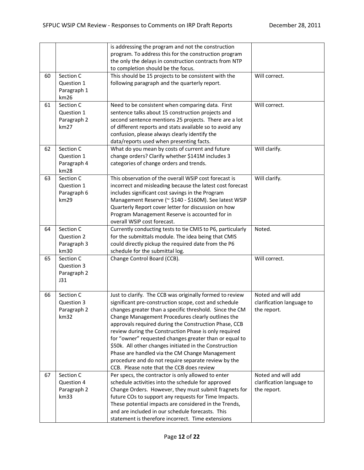|    |                                                | is addressing the program and not the construction<br>program. To address this for the construction program                                                                                                                                                                                                                                                                                                                                                                                                                                                                                                                   |                                                                |
|----|------------------------------------------------|-------------------------------------------------------------------------------------------------------------------------------------------------------------------------------------------------------------------------------------------------------------------------------------------------------------------------------------------------------------------------------------------------------------------------------------------------------------------------------------------------------------------------------------------------------------------------------------------------------------------------------|----------------------------------------------------------------|
|    |                                                | the only the delays in construction contracts from NTP<br>to completion should be the focus.                                                                                                                                                                                                                                                                                                                                                                                                                                                                                                                                  |                                                                |
| 60 | Section C<br>Question 1<br>Paragraph 1<br>km26 | This should be 15 projects to be consistent with the<br>following paragraph and the quarterly report.                                                                                                                                                                                                                                                                                                                                                                                                                                                                                                                         | Will correct.                                                  |
| 61 | Section C<br>Question 1<br>Paragraph 2<br>km27 | Need to be consistent when comparing data. First<br>sentence talks about 15 construction projects and<br>second sentence mentions 25 projects. There are a lot<br>of different reports and stats available so to avoid any<br>confusion, please always clearly identify the<br>data/reports used when presenting facts.                                                                                                                                                                                                                                                                                                       | Will correct.                                                  |
| 62 | Section C<br>Question 1<br>Paragraph 4<br>km28 | What do you mean by costs of current and future<br>change orders? Clarify whether \$141M includes 3<br>categories of change orders and trends.                                                                                                                                                                                                                                                                                                                                                                                                                                                                                | Will clarify.                                                  |
| 63 | Section C<br>Question 1<br>Paragraph 6<br>km29 | This observation of the overall WSIP cost forecast is<br>incorrect and misleading because the latest cost forecast<br>includes significant cost savings in the Program<br>Management Reserve (~ \$140 - \$160M). See latest WSIP<br>Quarterly Report cover letter for discussion on how<br>Program Management Reserve is accounted for in<br>overall WSIP cost forecast.                                                                                                                                                                                                                                                      | Will clarify.                                                  |
| 64 | Section C<br>Question 2<br>Paragraph 3<br>km30 | Currently conducting tests to tie CMIS to P6, particularly<br>for the submittals module. The idea being that CMIS<br>could directly pickup the required date from the P6<br>schedule for the submittal log.                                                                                                                                                                                                                                                                                                                                                                                                                   | Noted.                                                         |
| 65 | Section C<br>Question 3<br>Paragraph 2<br>J31  | Change Control Board (CCB).                                                                                                                                                                                                                                                                                                                                                                                                                                                                                                                                                                                                   | Will correct.                                                  |
| 66 | Section C<br>Question 3<br>Paragraph 2<br>km32 | Just to clarify. The CCB was originally formed to review<br>significant pre-construction scope, cost and schedule<br>changes greater than a specific threshold. Since the CM<br>Change Management Procedures clearly outlines the<br>approvals required during the Construction Phase, CCB<br>review during the Construction Phase is only required<br>for "owner" requested changes greater than or equal to<br>\$50k. All other changes initiated in the Construction<br>Phase are handled via the CM Change Management<br>procedure and do not require separate review by the<br>CCB. Please note that the CCB does review | Noted and will add<br>clarification language to<br>the report. |
| 67 | Section C<br>Question 4<br>Paragraph 2<br>km33 | Per specs, the contractor is only allowed to enter<br>schedule activities into the schedule for approved<br>Change Orders. However, they must submit fragnets for<br>future COs to support any requests for Time Impacts.<br>These potential impacts are considered in the Trends,<br>and are included in our schedule forecasts. This<br>statement is therefore incorrect. Time extensions                                                                                                                                                                                                                                   | Noted and will add<br>clarification language to<br>the report. |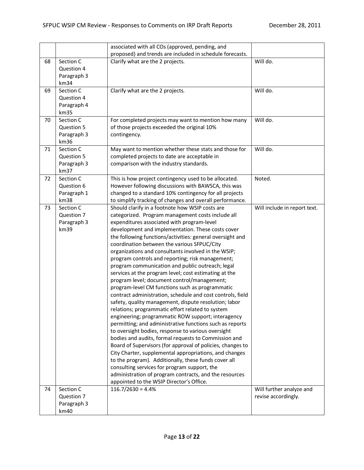|    |             | associated with all COs (approved, pending, and                                                      |                              |
|----|-------------|------------------------------------------------------------------------------------------------------|------------------------------|
|    |             | proposed) and trends are included in schedule forecasts.                                             |                              |
| 68 | Section C   | Clarify what are the 2 projects.                                                                     | Will do.                     |
|    | Question 4  |                                                                                                      |                              |
|    | Paragraph 3 |                                                                                                      |                              |
|    | km34        |                                                                                                      |                              |
| 69 | Section C   | Clarify what are the 2 projects.                                                                     | Will do.                     |
|    | Question 4  |                                                                                                      |                              |
|    | Paragraph 4 |                                                                                                      |                              |
|    | km35        |                                                                                                      |                              |
| 70 | Section C   | For completed projects may want to mention how many                                                  | Will do.                     |
|    | Question 5  | of those projects exceeded the original 10%                                                          |                              |
|    | Paragraph 3 | contingency.                                                                                         |                              |
|    | km36        |                                                                                                      |                              |
| 71 | Section C   | May want to mention whether these stats and those for                                                | Will do.                     |
|    | Question 5  | completed projects to date are acceptable in                                                         |                              |
|    | Paragraph 3 | comparison with the industry standards.                                                              |                              |
|    | km37        |                                                                                                      |                              |
| 72 | Section C   | This is how project contingency used to be allocated.                                                | Noted.                       |
|    | Question 6  | However following discussions with BAWSCA, this was                                                  |                              |
|    | Paragraph 1 | changed to a standard 10% contingency for all projects                                               |                              |
|    | km38        | to simplify tracking of changes and overall performance.                                             |                              |
| 73 | Section C   | Should clarify in a footnote how WSIP costs are                                                      | Will include in report text. |
|    | Question 7  | categorized. Program management costs include all                                                    |                              |
|    | Paragraph 3 | expenditures associated with program-level                                                           |                              |
|    | km39        | development and implementation. These costs cover                                                    |                              |
|    |             | the following functions/activities: general oversight and                                            |                              |
|    |             | coordination between the various SFPUC/City                                                          |                              |
|    |             | organizations and consultants involved in the WSIP;                                                  |                              |
|    |             | program controls and reporting; risk management;<br>program communication and public outreach; legal |                              |
|    |             | services at the program level; cost estimating at the                                                |                              |
|    |             | program level; document control/management;                                                          |                              |
|    |             | program-level CM functions such as programmatic                                                      |                              |
|    |             | contract administration, schedule and cost controls, field                                           |                              |
|    |             | safety, quality management, dispute resolution; labor                                                |                              |
|    |             | relations; programmatic effort related to system                                                     |                              |
|    |             | engineering; programmatic ROW support; interagency                                                   |                              |
|    |             | permitting; and administrative functions such as reports                                             |                              |
|    |             | to oversight bodies, response to various oversight                                                   |                              |
|    |             | bodies and audits, formal requests to Commission and                                                 |                              |
|    |             | Board of Supervisors (for approval of policies, changes to                                           |                              |
|    |             | City Charter, supplemental appropriations, and changes                                               |                              |
|    |             | to the program). Additionally, these funds cover all                                                 |                              |
|    |             | consulting services for program support, the                                                         |                              |
|    |             | administration of program contracts, and the resources                                               |                              |
|    |             | appointed to the WSIP Director's Office.                                                             |                              |
| 74 | Section C   | $116.7/2630 = 4.4%$                                                                                  | Will further analyze and     |
|    | Question 7  |                                                                                                      | revise accordingly.          |
|    | Paragraph 3 |                                                                                                      |                              |
|    | km40        |                                                                                                      |                              |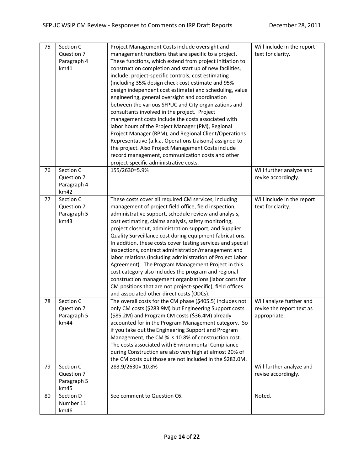| 75 | Section C   | Project Management Costs include oversight and              | Will include in the report |
|----|-------------|-------------------------------------------------------------|----------------------------|
|    | Question 7  | management functions that are specific to a project.        | text for clarity.          |
|    | Paragraph 4 | These functions, which extend from project initiation to    |                            |
|    | km41        | construction completion and start up of new facilities,     |                            |
|    |             | include: project-specific controls, cost estimating         |                            |
|    |             | (including 35% design check cost estimate and 95%           |                            |
|    |             | design independent cost estimate) and scheduling, value     |                            |
|    |             | engineering, general oversight and coordination             |                            |
|    |             | between the various SFPUC and City organizations and        |                            |
|    |             | consultants involved in the project. Project                |                            |
|    |             | management costs include the costs associated with          |                            |
|    |             | labor hours of the Project Manager (PM), Regional           |                            |
|    |             | Project Manager (RPM), and Regional Client/Operations       |                            |
|    |             | Representative (a.k.a. Operations Liaisons) assigned to     |                            |
|    |             | the project. Also Project Management Costs include          |                            |
|    |             | record management, communication costs and other            |                            |
|    |             | project-specific administrative costs.                      |                            |
| 76 | Section C   | 155/2630=5.9%                                               | Will further analyze and   |
|    | Question 7  |                                                             | revise accordingly.        |
|    | Paragraph 4 |                                                             |                            |
|    | km42        |                                                             |                            |
| 77 | Section C   | These costs cover all required CM services, including       | Will include in the report |
|    | Question 7  | management of project field office, field inspection,       | text for clarity.          |
|    | Paragraph 5 | administrative support, schedule review and analysis,       |                            |
|    | km43        | cost estimating, claims analysis, safety monitoring,        |                            |
|    |             | project closeout, administration support, and Supplier      |                            |
|    |             | Quality Surveillance cost during equipment fabrications.    |                            |
|    |             | In addition, these costs cover testing services and special |                            |
|    |             | inspections, contract administration/management and         |                            |
|    |             | labor relations (including administration of Project Labor  |                            |
|    |             | Agreement). The Program Management Project in this          |                            |
|    |             | cost category also includes the program and regional        |                            |
|    |             | construction management organizations (labor costs for      |                            |
|    |             | CM positions that are not project-specific), field offices  |                            |
|    |             | and associated other direct costs (ODCs).                   |                            |
| 78 | Section C   | The overall costs for the CM phase (\$405.5) includes not   | Will analyze further and   |
|    | Question 7  | only CM costs (\$283.9M) but Engineering Support costs      | revise the report text as  |
|    | Paragraph 5 | (\$85.2M) and Program CM costs (\$36.4M) already            | appropriate.               |
|    | km44        | accounted for in the Program Management category. So        |                            |
|    |             | if you take out the Engineering Support and Program         |                            |
|    |             | Management, the CM % is 10.8% of construction cost.         |                            |
|    |             | The costs associated with Environmental Compliance          |                            |
|    |             | during Construction are also very high at almost 20% of     |                            |
|    |             | the CM costs but those are not included in the \$283.0M.    |                            |
| 79 | Section C   | 283.9/2630= 10.8%                                           | Will further analyze and   |
|    | Question 7  |                                                             | revise accordingly.        |
|    | Paragraph 5 |                                                             |                            |
|    | km45        |                                                             |                            |
| 80 | Section D   | See comment to Question C6.                                 | Noted.                     |
|    | Number 11   |                                                             |                            |
|    | km46        |                                                             |                            |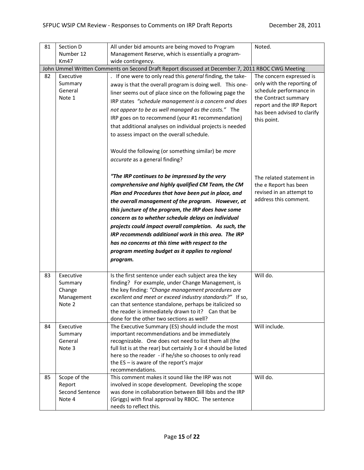| 81 | Section D                                              | All under bid amounts are being moved to Program                                                                                                                                                                                                                                                                                                                                                                                                                                                                                                                        | Noted.                                                                                                                                                                               |
|----|--------------------------------------------------------|-------------------------------------------------------------------------------------------------------------------------------------------------------------------------------------------------------------------------------------------------------------------------------------------------------------------------------------------------------------------------------------------------------------------------------------------------------------------------------------------------------------------------------------------------------------------------|--------------------------------------------------------------------------------------------------------------------------------------------------------------------------------------|
|    | Number 12                                              | Management Reserve, which is essentially a program-                                                                                                                                                                                                                                                                                                                                                                                                                                                                                                                     |                                                                                                                                                                                      |
|    | Km47                                                   | wide contingency.                                                                                                                                                                                                                                                                                                                                                                                                                                                                                                                                                       |                                                                                                                                                                                      |
|    |                                                        | John Ummel Written Comments on Second Draft Report discussed at December 7, 2011 RBOC CWG Meeting                                                                                                                                                                                                                                                                                                                                                                                                                                                                       |                                                                                                                                                                                      |
| 82 | Executive<br>Summary<br>General<br>Note 1              | . If one were to only read this general finding, the take-<br>away is that the overall program is doing well. This one-<br>liner seems out of place since on the following page the<br>IRP states "schedule management is a concern and does<br>not appear to be as well managed as the costs." The<br>IRP goes on to recommend (your #1 recommendation)<br>that additional analyses on individual projects is needed<br>to assess impact on the overall schedule.<br>Would the following (or something similar) be more<br>accurate as a general finding?              | The concern expressed is<br>only with the reporting of<br>schedule performance in<br>the Contract summary<br>report and the IRP Report<br>has been advised to clarify<br>this point. |
|    |                                                        | "The IRP continues to be impressed by the very<br>comprehensive and highly qualified CM Team, the CM<br>Plan and Procedures that have been put in place, and<br>the overall management of the program. However, at<br>this juncture of the program, the IRP does have some<br>concern as to whether schedule delays on individual<br>projects could impact overall completion. As such, the<br>IRP recommends additional work in this area. The IRP<br>has no concerns at this time with respect to the<br>program meeting budget as it applies to regional<br>program. | The related statement in<br>the e Report has been<br>revised in an attempt to<br>address this comment.                                                                               |
| 83 | Executive<br>Summary<br>Change<br>Management<br>Note 2 | Is the first sentence under each subject area the key<br>finding? For example, under Change Management, is<br>the key finding: "Change management procedures are<br>excellent and meet or exceed industry standards?" If so,<br>can that sentence standalone, perhaps be italicized so<br>the reader is immediately drawn to it? Can that be<br>done for the other two sections as well?                                                                                                                                                                                | Will do.                                                                                                                                                                             |
| 84 | Executive<br>Summary<br>General<br>Note 3              | The Executive Summary (ES) should include the most<br>important recommendations and be immediately<br>recognizable. One does not need to list them all (the<br>full list is at the rear) but certainly 3 or 4 should be listed<br>here so the reader - if he/she so chooses to only read<br>the $ES - is$ aware of the report's major<br>recommendations.                                                                                                                                                                                                               | Will include.                                                                                                                                                                        |
| 85 | Scope of the<br>Report<br>Second Sentence<br>Note 4    | This comment makes it sound like the IRP was not<br>involved in scope development. Developing the scope<br>was done in collaboration between Bill Ibbs and the IRP<br>(Griggs) with final approval by RBOC. The sentence<br>needs to reflect this.                                                                                                                                                                                                                                                                                                                      | Will do.                                                                                                                                                                             |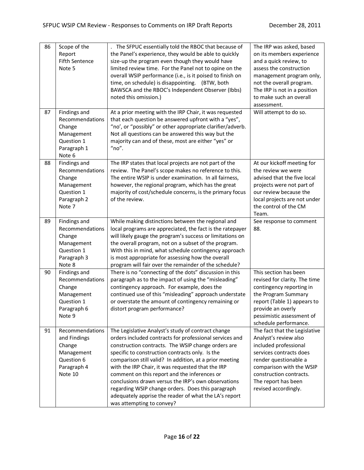| 86 | Scope of the<br>Report<br>Fifth Sentence<br>Note 5                                              | The SFPUC essentially told the RBOC that because of<br>the Panel's experience, they would be able to quickly<br>size-up the program even though they would have<br>limited review time. For the Panel not to opine on the<br>overall WSIP performance (i.e., is it poised to finish on<br>time, on schedule) is disappointing. (BTW, both<br>BAWSCA and the RBOC's Independent Observer (Ibbs)<br>noted this omission.)                                                                                                                                                                  | The IRP was asked, based<br>on its members experience<br>and a quick review, to<br>assess the construction<br>management program only,<br>not the overall program.<br>The IRP is not in a position<br>to make such an overall<br>assessment. |
|----|-------------------------------------------------------------------------------------------------|------------------------------------------------------------------------------------------------------------------------------------------------------------------------------------------------------------------------------------------------------------------------------------------------------------------------------------------------------------------------------------------------------------------------------------------------------------------------------------------------------------------------------------------------------------------------------------------|----------------------------------------------------------------------------------------------------------------------------------------------------------------------------------------------------------------------------------------------|
| 87 | Findings and<br>Recommendations<br>Change<br>Management<br>Question 1<br>Paragraph 1<br>Note 6  | At a prior meeting with the IRP Chair, it was requested<br>that each question be answered upfront with a "yes",<br>"no', or "possibly" or other appropriate clarifier/adverb.<br>Not all questions can be answered this way but the<br>majority can and of these, most are either "yes" or<br>" $no$ ".                                                                                                                                                                                                                                                                                  | Will attempt to do so.                                                                                                                                                                                                                       |
| 88 | Findings and<br>Recommendations<br>Change<br>Management<br>Question 1<br>Paragraph 2<br>Note 7  | The IRP states that local projects are not part of the<br>review. The Panel's scope makes no reference to this.<br>The entire WSIP is under examination. In all fairness,<br>however, the regional program, which has the great<br>majority of cost/schedule concerns, is the primary focus<br>of the review.                                                                                                                                                                                                                                                                            | At our kickoff meeting for<br>the review we were<br>advised that the five local<br>projects were not part of<br>our review because the<br>local projects are not under<br>the control of the CM<br>Team.                                     |
| 89 | Findings and<br>Recommendations<br>Change<br>Management<br>Question 1<br>Paragraph 3<br>Note 8  | While making distinctions between the regional and<br>local programs are appreciated, the fact is the ratepayer<br>will likely gauge the program's success or limitations on<br>the overall program, not on a subset of the program.<br>With this in mind, what schedule contingency approach<br>is most appropriate for assessing how the overall<br>program will fair over the remainder of the schedule?                                                                                                                                                                              | See response to comment<br>88.                                                                                                                                                                                                               |
| 90 | Findings and<br>Recommendations<br>Change<br>Management<br>Question 1<br>Paragraph 6<br>Note 9  | There is no "connecting of the dots" discussion in this<br>paragraph as to the impact of using the "misleading"<br>contingency approach. For example, does the<br>continued use of this "misleading" approach understate<br>or overstate the amount of contingency remaining or<br>distort program performance?                                                                                                                                                                                                                                                                          | This section has been<br>revised for clarity. The time<br>contingency reporting in<br>the Program Summary<br>report (Table 1) appears to<br>provide an overly<br>pessimistic assessment of<br>schedule performance.                          |
| 91 | Recommendations<br>and Findings<br>Change<br>Management<br>Question 6<br>Paragraph 4<br>Note 10 | The Legislative Analyst's study of contract change<br>orders included contracts for professional services and<br>construction contracts. The WSIP change orders are<br>specific to construction contracts only. Is the<br>comparison still valid? In addition, at a prior meeting<br>with the IRP Chair, it was requested that the IRP<br>comment on this report and the inferences or<br>conclusions drawn versus the IRP's own observations<br>regarding WSIP change orders. Does this paragraph<br>adequately apprise the reader of what the LA's report<br>was attempting to convey? | The fact that the Legislative<br>Analyst's review also<br>included professional<br>services contracts does<br>render questionable a<br>comparison with the WSIP<br>construction contracts.<br>The report has been<br>revised accordingly.    |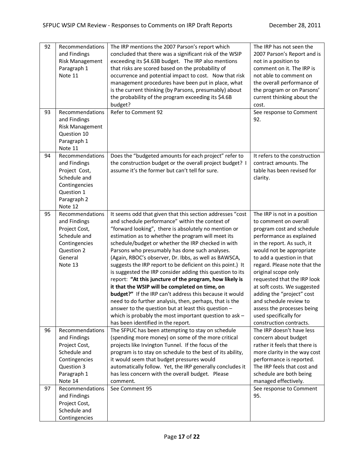| 92 | Recommendations        | The IRP mentions the 2007 Parson's report which            | The IRP has not seen the      |
|----|------------------------|------------------------------------------------------------|-------------------------------|
|    | and Findings           | concluded that there was a significant risk of the WSIP    | 2007 Parson's Report and is   |
|    | <b>Risk Management</b> | exceeding its \$4.63B budget. The IRP also mentions        | not in a position to          |
|    | Paragraph 1            | that risks are scored based on the probability of          | comment on it. The IRP is     |
|    | Note 11                | occurrence and potential impact to cost. Now that risk     | not able to comment on        |
|    |                        | management procedures have been put in place, what         | the overall performance of    |
|    |                        | is the current thinking (by Parsons, presumably) about     | the program or on Parsons'    |
|    |                        | the probability of the program exceeding its \$4.6B        | current thinking about the    |
|    |                        | budget?                                                    | cost.                         |
| 93 | Recommendations        | Refer to Comment 92                                        | See response to Comment       |
|    | and Findings           |                                                            | 92.                           |
|    | <b>Risk Management</b> |                                                            |                               |
|    | Question 10            |                                                            |                               |
|    | Paragraph 1            |                                                            |                               |
|    | Note 11                |                                                            |                               |
| 94 | Recommendations        | Does the "budgeted amounts for each project" refer to      | It refers to the construction |
|    | and Findings           | the construction budget or the overall project budget? I   | contract amounts. The         |
|    | Project Cost,          | assume it's the former but can't tell for sure.            | table has been revised for    |
|    | Schedule and           |                                                            | clarity.                      |
|    | Contingencies          |                                                            |                               |
|    | Question 1             |                                                            |                               |
|    | Paragraph 2            |                                                            |                               |
|    | Note 12                |                                                            |                               |
| 95 | Recommendations        | It seems odd that given that this section addresses "cost  | The IRP is not in a position  |
|    | and Findings           | and schedule performance" within the context of            | to comment on overall         |
|    | Project Cost,          | "forward looking", there is absolutely no mention or       | program cost and schedule     |
|    | Schedule and           | estimation as to whether the program will meet its         | performance as explained      |
|    | Contingencies          | schedule/budget or whether the IRP checked in with         | in the report. As such, it    |
|    | Question 2             | Parsons who presumably has done such analyses.             | would not be appropriate      |
|    | General                | (Again, RBOC's observer, Dr. Ibbs, as well as BAWSCA,      | to add a question in that     |
|    | Note 13                | suggests the IRP report to be deficient on this point.) It | regard. Please note that the  |
|    |                        | is suggested the IRP consider adding this question to its  | original scope only           |
|    |                        | report: "At this juncture of the program, how likely is    | requested that the IRP look   |
|    |                        | it that the WSIP will be completed on time, on             | at soft costs. We suggested   |
|    |                        | budget?" If the IRP can't address this because it would    | adding the "project" cost     |
|    |                        | need to do further analysis, then, perhaps, that is the    | and schedule review to        |
|    |                        | answer to the question but at least this question -        | assess the processes being    |
|    |                        | which is probably the most important question to ask $-$   | used specifically for         |
|    |                        | has been identified in the report.                         | construction contracts.       |
| 96 | Recommendations        | The SFPUC has been attempting to stay on schedule          | The IRP doesn't have less     |
|    | and Findings           | (spending more money) on some of the more critical         | concern about budget          |
|    | Project Cost,          | projects like Irvington Tunnel. If the focus of the        | rather it feels that there is |
|    | Schedule and           | program is to stay on schedule to the best of its ability, | more clarity in the way cost  |
|    | Contingencies          | it would seem that budget pressures would                  | performance is reported.      |
|    | Question 3             | automatically follow. Yet, the IRP generally concludes it  | The IRP feels that cost and   |
|    | Paragraph 1            | has less concern with the overall budget. Please           | schedule are both being       |
|    | Note 14                | comment.                                                   | managed effectively.          |
| 97 | Recommendations        | See Comment 95                                             | See response to Comment       |
|    | and Findings           |                                                            | 95.                           |
|    | Project Cost,          |                                                            |                               |
|    | Schedule and           |                                                            |                               |
|    | Contingencies          |                                                            |                               |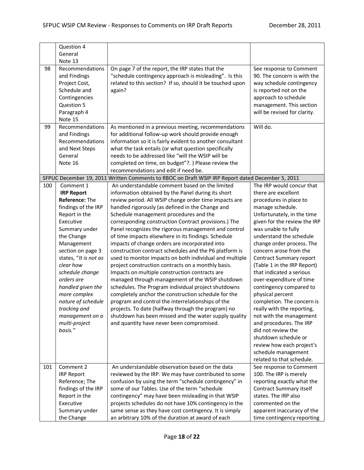|     | Question 4            |                                                                                                  |                              |
|-----|-----------------------|--------------------------------------------------------------------------------------------------|------------------------------|
|     | General               |                                                                                                  |                              |
|     | Note 13               |                                                                                                  |                              |
| 98  | Recommendations       | On page 7 of the report, the IRP states that the                                                 | See response to Comment      |
|     | and Findings          | "schedule contingency approach is misleading". Is this                                           | 90. The concern is with the  |
|     | Project Cost,         | related to this section? If so, should it be touched upon                                        | way schedule contingency     |
|     | Schedule and          | again?                                                                                           | is reported not on the       |
|     | Contingencies         |                                                                                                  | approach to schedule         |
|     | Question 5            |                                                                                                  | management. This section     |
|     | Paragraph 4           |                                                                                                  | will be revised for clarity. |
|     | Note 15               |                                                                                                  |                              |
| 99  | Recommendations       | As mentioned in a previous meeting, recommendations                                              | Will do.                     |
|     | and Findings          | for additional follow-up work should provide enough                                              |                              |
|     | Recommendations       | information so it is fairly evident to another consultant                                        |                              |
|     | and Next Steps        | what the task entails (or what question specifically                                             |                              |
|     | General               | needs to be addressed like "will the WSIP will be                                                |                              |
|     | Note 16               | completed on time, on budget"?. ) Please review the                                              |                              |
|     |                       | recommendations and edit if need be.                                                             |                              |
|     |                       | SFPUC December 19, 2011 Written Comments to RBOC on Draft WSIP IRP Report dated December 5, 2011 |                              |
| 100 | Comment 1             | An understandable comment based on the limited                                                   | The IRP would concur that    |
|     | <b>IRP Report</b>     | information obtained by the Panel during its short                                               | there are excellent          |
|     | Reference: The        | review period. All WSIP change order time impacts are                                            | procedures in place to       |
|     | findings of the IRP   | handled rigorously (as defined in the Change and                                                 | manage schedule.             |
|     | Report in the         | Schedule management procedures and the                                                           | Unfortunately, in the time   |
|     | Executive             | corresponding construction Contract provisions.) The                                             | given for the review the IRP |
|     | Summary under         | Panel recognizes the rigorous management and control                                             | was unable to fully          |
|     | the Change            | of time impacts elsewhere in its findings. Schedule                                              | understand the schedule      |
|     | Management            | impacts of change orders are incorporated into                                                   | change order process. The    |
|     | section on page 3     | construction contract schedules and the P6 platform is                                           | concern arose from the       |
|     | states, "It is not as | used to monitor impacts on both individual and multiple                                          | Contract Summary report      |
|     | clear how             | project construction contracts on a monthly basis.                                               | (Table 1 in the IRP Report)  |
|     | schedule change       | Impacts on multiple construction contracts are                                                   | that indicated a serious     |
|     | orders are            | managed through management of the WSIP shutdown                                                  | over-expenditure of time     |
|     | handled given the     | schedules. The Program individual project shutdowns                                              | contingency compared to      |
|     | more complex          | completely anchor the construction schedule for the                                              | physical percent             |
|     | nature of schedule    | program and control the interrelationships of the                                                | completion. The concern is   |
|     | tracking and          | projects. To date (halfway through the program) no                                               | really with the reporting,   |
|     | management on a       | shutdown has been missed and the water supply quality                                            | not with the management      |
|     | multi-project         | and quantity have never been compromised.                                                        | and procedures. The IRP      |
|     | basis."               |                                                                                                  | did not review the           |
|     |                       |                                                                                                  | shutdown schedule or         |
|     |                       |                                                                                                  | review how each project's    |
|     |                       |                                                                                                  | schedule management          |
|     |                       |                                                                                                  | related to that schedule.    |
| 101 | Comment 2             | An understandable observation based on the data                                                  | See response to Comment      |
|     | <b>IRP Report</b>     | reviewed by the IRP. We may have contributed to some                                             | 100. The IRP is merely       |
|     | Reference; The        | confusion by using the term "schedule contingency" in                                            | reporting exactly what the   |
|     | findings of the IRP   | some of our Tables. Use of the term "schedule                                                    | Contract Summary itself      |
|     | Report in the         | contingency" may have been misleading in that WSIP                                               | states. The IRP also         |
|     | Executive             | projects schedules do not have 10% contingency in the                                            | commented on the             |
|     | Summary under         | same sense as they have cost contingency. It is simply                                           | apparent inaccuracy of the   |
|     | the Change            | an arbitrary 10% of the duration at award of each                                                | time contingency reporting   |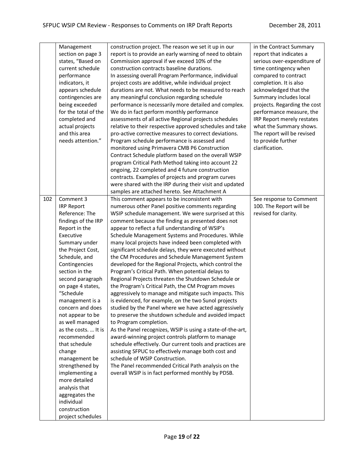|     | Management<br>section on page 3<br>states, "Based on<br>current schedule<br>performance<br>indicators, it<br>appears schedule<br>contingencies are<br>being exceeded<br>for the total of the<br>completed and<br>actual projects<br>and this area<br>needs attention." | construction project. The reason we set it up in our<br>report is to provide an early warning of need to obtain<br>Commission approval if we exceed 10% of the<br>construction contracts baseline durations.<br>In assessing overall Program Performance, individual<br>project costs are additive, while individual project<br>durations are not. What needs to be measured to reach<br>any meaningful conclusion regarding schedule<br>performance is necessarily more detailed and complex.<br>We do in fact perform monthly performance<br>assessments of all active Regional projects schedules<br>relative to their respective approved schedules and take<br>pro-active corrective measures to correct deviations.<br>Program schedule performance is assessed and<br>monitored using Primavera CMB P6 Construction<br>Contract Schedule platform based on the overall WSIP<br>program Critical Path Method taking into account 22<br>ongoing, 22 completed and 4 future construction<br>contracts. Examples of projects and program curves<br>were shared with the IRP during their visit and updated<br>samples are attached hereto. See Attachment A | in the Contract Summary<br>report that indicates a<br>serious over-expenditure of<br>time contingency when<br>compared to contract<br>completion. It is also<br>acknowledged that the<br>Summary includes local<br>projects. Regarding the cost<br>performance measure, the<br>IRP Report merely restates<br>what the Summary shows.<br>The report will be revised<br>to provide further<br>clarification. |
|-----|------------------------------------------------------------------------------------------------------------------------------------------------------------------------------------------------------------------------------------------------------------------------|----------------------------------------------------------------------------------------------------------------------------------------------------------------------------------------------------------------------------------------------------------------------------------------------------------------------------------------------------------------------------------------------------------------------------------------------------------------------------------------------------------------------------------------------------------------------------------------------------------------------------------------------------------------------------------------------------------------------------------------------------------------------------------------------------------------------------------------------------------------------------------------------------------------------------------------------------------------------------------------------------------------------------------------------------------------------------------------------------------------------------------------------------------------|------------------------------------------------------------------------------------------------------------------------------------------------------------------------------------------------------------------------------------------------------------------------------------------------------------------------------------------------------------------------------------------------------------|
| 102 | Comment 3                                                                                                                                                                                                                                                              | This comment appears to be inconsistent with                                                                                                                                                                                                                                                                                                                                                                                                                                                                                                                                                                                                                                                                                                                                                                                                                                                                                                                                                                                                                                                                                                                   | See response to Comment                                                                                                                                                                                                                                                                                                                                                                                    |
|     | <b>IRP Report</b>                                                                                                                                                                                                                                                      | numerous other Panel positive comments regarding                                                                                                                                                                                                                                                                                                                                                                                                                                                                                                                                                                                                                                                                                                                                                                                                                                                                                                                                                                                                                                                                                                               | 100. The Report will be                                                                                                                                                                                                                                                                                                                                                                                    |
|     | Reference: The                                                                                                                                                                                                                                                         | WSIP schedule management. We were surprised at this                                                                                                                                                                                                                                                                                                                                                                                                                                                                                                                                                                                                                                                                                                                                                                                                                                                                                                                                                                                                                                                                                                            | revised for clarity.                                                                                                                                                                                                                                                                                                                                                                                       |
|     | findings of the IRP                                                                                                                                                                                                                                                    | comment because the finding as presented does not                                                                                                                                                                                                                                                                                                                                                                                                                                                                                                                                                                                                                                                                                                                                                                                                                                                                                                                                                                                                                                                                                                              |                                                                                                                                                                                                                                                                                                                                                                                                            |
|     | Report in the                                                                                                                                                                                                                                                          | appear to reflect a full understanding of WSIP's                                                                                                                                                                                                                                                                                                                                                                                                                                                                                                                                                                                                                                                                                                                                                                                                                                                                                                                                                                                                                                                                                                               |                                                                                                                                                                                                                                                                                                                                                                                                            |
|     | Executive                                                                                                                                                                                                                                                              | Schedule Management Systems and Procedures. While                                                                                                                                                                                                                                                                                                                                                                                                                                                                                                                                                                                                                                                                                                                                                                                                                                                                                                                                                                                                                                                                                                              |                                                                                                                                                                                                                                                                                                                                                                                                            |
|     | Summary under                                                                                                                                                                                                                                                          | many local projects have indeed been completed with                                                                                                                                                                                                                                                                                                                                                                                                                                                                                                                                                                                                                                                                                                                                                                                                                                                                                                                                                                                                                                                                                                            |                                                                                                                                                                                                                                                                                                                                                                                                            |
|     | the Project Cost,                                                                                                                                                                                                                                                      | significant schedule delays, they were executed without                                                                                                                                                                                                                                                                                                                                                                                                                                                                                                                                                                                                                                                                                                                                                                                                                                                                                                                                                                                                                                                                                                        |                                                                                                                                                                                                                                                                                                                                                                                                            |
|     | Schedule, and                                                                                                                                                                                                                                                          | the CM Procedures and Schedule Management System                                                                                                                                                                                                                                                                                                                                                                                                                                                                                                                                                                                                                                                                                                                                                                                                                                                                                                                                                                                                                                                                                                               |                                                                                                                                                                                                                                                                                                                                                                                                            |
|     | Contingencies                                                                                                                                                                                                                                                          | developed for the Regional Projects, which control the                                                                                                                                                                                                                                                                                                                                                                                                                                                                                                                                                                                                                                                                                                                                                                                                                                                                                                                                                                                                                                                                                                         |                                                                                                                                                                                                                                                                                                                                                                                                            |
|     | section in the                                                                                                                                                                                                                                                         | Program's Critical Path. When potential delays to                                                                                                                                                                                                                                                                                                                                                                                                                                                                                                                                                                                                                                                                                                                                                                                                                                                                                                                                                                                                                                                                                                              |                                                                                                                                                                                                                                                                                                                                                                                                            |
|     | second paragraph                                                                                                                                                                                                                                                       | Regional Projects threaten the Shutdown Schedule or                                                                                                                                                                                                                                                                                                                                                                                                                                                                                                                                                                                                                                                                                                                                                                                                                                                                                                                                                                                                                                                                                                            |                                                                                                                                                                                                                                                                                                                                                                                                            |
|     | on page 4 states,                                                                                                                                                                                                                                                      | the Program's Critical Path, the CM Program moves                                                                                                                                                                                                                                                                                                                                                                                                                                                                                                                                                                                                                                                                                                                                                                                                                                                                                                                                                                                                                                                                                                              |                                                                                                                                                                                                                                                                                                                                                                                                            |
|     | "Schedule                                                                                                                                                                                                                                                              | aggressively to manage and mitigate such impacts. This                                                                                                                                                                                                                                                                                                                                                                                                                                                                                                                                                                                                                                                                                                                                                                                                                                                                                                                                                                                                                                                                                                         |                                                                                                                                                                                                                                                                                                                                                                                                            |
|     | management is a                                                                                                                                                                                                                                                        | is evidenced, for example, on the two Sunol projects                                                                                                                                                                                                                                                                                                                                                                                                                                                                                                                                                                                                                                                                                                                                                                                                                                                                                                                                                                                                                                                                                                           |                                                                                                                                                                                                                                                                                                                                                                                                            |
|     | concern and does                                                                                                                                                                                                                                                       | studied by the Panel where we have acted aggressively                                                                                                                                                                                                                                                                                                                                                                                                                                                                                                                                                                                                                                                                                                                                                                                                                                                                                                                                                                                                                                                                                                          |                                                                                                                                                                                                                                                                                                                                                                                                            |
|     | not appear to be                                                                                                                                                                                                                                                       | to preserve the shutdown schedule and avoided impact                                                                                                                                                                                                                                                                                                                                                                                                                                                                                                                                                                                                                                                                                                                                                                                                                                                                                                                                                                                                                                                                                                           |                                                                                                                                                                                                                                                                                                                                                                                                            |
|     | as well managed                                                                                                                                                                                                                                                        | to Program completion.                                                                                                                                                                                                                                                                                                                                                                                                                                                                                                                                                                                                                                                                                                                                                                                                                                                                                                                                                                                                                                                                                                                                         |                                                                                                                                                                                                                                                                                                                                                                                                            |
|     | as the costs.  It is                                                                                                                                                                                                                                                   | As the Panel recognizes, WSIP is using a state-of-the-art,                                                                                                                                                                                                                                                                                                                                                                                                                                                                                                                                                                                                                                                                                                                                                                                                                                                                                                                                                                                                                                                                                                     |                                                                                                                                                                                                                                                                                                                                                                                                            |
|     | recommended                                                                                                                                                                                                                                                            | award-winning project controls platform to manage                                                                                                                                                                                                                                                                                                                                                                                                                                                                                                                                                                                                                                                                                                                                                                                                                                                                                                                                                                                                                                                                                                              |                                                                                                                                                                                                                                                                                                                                                                                                            |
|     | that schedule                                                                                                                                                                                                                                                          | schedule effectively. Our current tools and practices are<br>assisting SFPUC to effectively manage both cost and                                                                                                                                                                                                                                                                                                                                                                                                                                                                                                                                                                                                                                                                                                                                                                                                                                                                                                                                                                                                                                               |                                                                                                                                                                                                                                                                                                                                                                                                            |
|     | change                                                                                                                                                                                                                                                                 | schedule of WSIP Construction.                                                                                                                                                                                                                                                                                                                                                                                                                                                                                                                                                                                                                                                                                                                                                                                                                                                                                                                                                                                                                                                                                                                                 |                                                                                                                                                                                                                                                                                                                                                                                                            |
|     | management be<br>strengthened by                                                                                                                                                                                                                                       | The Panel recommended Critical Path analysis on the                                                                                                                                                                                                                                                                                                                                                                                                                                                                                                                                                                                                                                                                                                                                                                                                                                                                                                                                                                                                                                                                                                            |                                                                                                                                                                                                                                                                                                                                                                                                            |
|     | implementing a                                                                                                                                                                                                                                                         | overall WSIP is in fact performed monthly by PDSB.                                                                                                                                                                                                                                                                                                                                                                                                                                                                                                                                                                                                                                                                                                                                                                                                                                                                                                                                                                                                                                                                                                             |                                                                                                                                                                                                                                                                                                                                                                                                            |
|     | more detailed                                                                                                                                                                                                                                                          |                                                                                                                                                                                                                                                                                                                                                                                                                                                                                                                                                                                                                                                                                                                                                                                                                                                                                                                                                                                                                                                                                                                                                                |                                                                                                                                                                                                                                                                                                                                                                                                            |
|     | analysis that                                                                                                                                                                                                                                                          |                                                                                                                                                                                                                                                                                                                                                                                                                                                                                                                                                                                                                                                                                                                                                                                                                                                                                                                                                                                                                                                                                                                                                                |                                                                                                                                                                                                                                                                                                                                                                                                            |
|     | aggregates the                                                                                                                                                                                                                                                         |                                                                                                                                                                                                                                                                                                                                                                                                                                                                                                                                                                                                                                                                                                                                                                                                                                                                                                                                                                                                                                                                                                                                                                |                                                                                                                                                                                                                                                                                                                                                                                                            |
|     | individual                                                                                                                                                                                                                                                             |                                                                                                                                                                                                                                                                                                                                                                                                                                                                                                                                                                                                                                                                                                                                                                                                                                                                                                                                                                                                                                                                                                                                                                |                                                                                                                                                                                                                                                                                                                                                                                                            |
|     | construction                                                                                                                                                                                                                                                           |                                                                                                                                                                                                                                                                                                                                                                                                                                                                                                                                                                                                                                                                                                                                                                                                                                                                                                                                                                                                                                                                                                                                                                |                                                                                                                                                                                                                                                                                                                                                                                                            |
|     | project schedules                                                                                                                                                                                                                                                      |                                                                                                                                                                                                                                                                                                                                                                                                                                                                                                                                                                                                                                                                                                                                                                                                                                                                                                                                                                                                                                                                                                                                                                |                                                                                                                                                                                                                                                                                                                                                                                                            |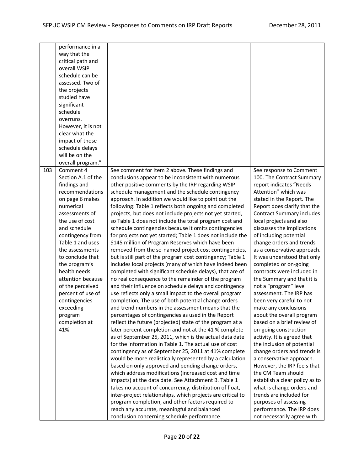|     | performance in a<br>way that the<br>critical path and<br>overall WSIP<br>schedule can be<br>assessed. Two of<br>the projects<br>studied have                                                                                                                                                                                                                                                            |                                                                                                                                                                                                                                                                                                                                                                                                                                                                                                                                                                                                                                                                                                                                                                                                                                                                                                                                                                                                                                                                                                                                                                                                                                                                                                                                                                                                                                                                                                                                                                                                                                                                                                                                                                                                                                                                                                                                                                                                                                                   |                                                                                                                                                                                                                                                                                                                                                                                                                                                                                                                                                                                                                                                                                                                                                                                                                                                                                                                                                                                                                                   |
|-----|---------------------------------------------------------------------------------------------------------------------------------------------------------------------------------------------------------------------------------------------------------------------------------------------------------------------------------------------------------------------------------------------------------|---------------------------------------------------------------------------------------------------------------------------------------------------------------------------------------------------------------------------------------------------------------------------------------------------------------------------------------------------------------------------------------------------------------------------------------------------------------------------------------------------------------------------------------------------------------------------------------------------------------------------------------------------------------------------------------------------------------------------------------------------------------------------------------------------------------------------------------------------------------------------------------------------------------------------------------------------------------------------------------------------------------------------------------------------------------------------------------------------------------------------------------------------------------------------------------------------------------------------------------------------------------------------------------------------------------------------------------------------------------------------------------------------------------------------------------------------------------------------------------------------------------------------------------------------------------------------------------------------------------------------------------------------------------------------------------------------------------------------------------------------------------------------------------------------------------------------------------------------------------------------------------------------------------------------------------------------------------------------------------------------------------------------------------------------|-----------------------------------------------------------------------------------------------------------------------------------------------------------------------------------------------------------------------------------------------------------------------------------------------------------------------------------------------------------------------------------------------------------------------------------------------------------------------------------------------------------------------------------------------------------------------------------------------------------------------------------------------------------------------------------------------------------------------------------------------------------------------------------------------------------------------------------------------------------------------------------------------------------------------------------------------------------------------------------------------------------------------------------|
|     | significant<br>schedule<br>overruns.                                                                                                                                                                                                                                                                                                                                                                    |                                                                                                                                                                                                                                                                                                                                                                                                                                                                                                                                                                                                                                                                                                                                                                                                                                                                                                                                                                                                                                                                                                                                                                                                                                                                                                                                                                                                                                                                                                                                                                                                                                                                                                                                                                                                                                                                                                                                                                                                                                                   |                                                                                                                                                                                                                                                                                                                                                                                                                                                                                                                                                                                                                                                                                                                                                                                                                                                                                                                                                                                                                                   |
|     | However, it is not<br>clear what the<br>impact of those                                                                                                                                                                                                                                                                                                                                                 |                                                                                                                                                                                                                                                                                                                                                                                                                                                                                                                                                                                                                                                                                                                                                                                                                                                                                                                                                                                                                                                                                                                                                                                                                                                                                                                                                                                                                                                                                                                                                                                                                                                                                                                                                                                                                                                                                                                                                                                                                                                   |                                                                                                                                                                                                                                                                                                                                                                                                                                                                                                                                                                                                                                                                                                                                                                                                                                                                                                                                                                                                                                   |
|     | schedule delays<br>will be on the<br>overall program."                                                                                                                                                                                                                                                                                                                                                  |                                                                                                                                                                                                                                                                                                                                                                                                                                                                                                                                                                                                                                                                                                                                                                                                                                                                                                                                                                                                                                                                                                                                                                                                                                                                                                                                                                                                                                                                                                                                                                                                                                                                                                                                                                                                                                                                                                                                                                                                                                                   |                                                                                                                                                                                                                                                                                                                                                                                                                                                                                                                                                                                                                                                                                                                                                                                                                                                                                                                                                                                                                                   |
| 103 | Comment 4<br>Section A.1 of the<br>findings and<br>recommendations<br>on page 6 makes<br>numerical<br>assessments of<br>the use of cost<br>and schedule<br>contingency from<br>Table 1 and uses<br>the assessments<br>to conclude that<br>the program's<br>health needs<br>attention because<br>of the perceived<br>percent of use of<br>contingencies<br>exceeding<br>program<br>completion at<br>41%. | See comment for Item 2 above. These findings and<br>conclusions appear to be inconsistent with numerous<br>other positive comments by the IRP regarding WSIP<br>schedule management and the schedule contingency<br>approach. In addition we would like to point out the<br>following: Table 1 reflects both ongoing and completed<br>projects, but does not include projects not yet started,<br>so Table 1 does not include the total program cost and<br>schedule contingencies because it omits contingencies<br>for projects not yet started; Table 1 does not include the<br>\$145 million of Program Reserves which have been<br>removed from the so-named project cost contingencies,<br>but is still part of the program cost contingency; Table 1<br>includes local projects (many of which have indeed been<br>completed with significant schedule delays), that are of<br>no real consequence to the remainder of the program<br>and their influence on schedule delays and contingency<br>use reflects only a small impact to the overall program<br>completion; The use of both potential change orders<br>and trend numbers in the assessment means that the<br>percentages of contingencies as used in the Report<br>reflect the future (projected) state of the program at a<br>later percent completion and not at the 41 % complete<br>as of September 25, 2011, which is the actual data date<br>for the information in Table 1. The actual use of cost<br>contingency as of September 25, 2011 at 41% complete<br>would be more realistically represented by a calculation<br>based on only approved and pending change orders,<br>which address modifications (increased cost and time<br>impacts) at the data date. See Attachment B. Table 1<br>takes no account of concurrency, distribution of float,<br>inter-project relationships, which projects are critical to<br>program completion, and other factors required to<br>reach any accurate, meaningful and balanced<br>conclusion concerning schedule performance. | See response to Comment<br>100. The Contract Summary<br>report indicates "Needs<br>Attention" which was<br>stated in the Report. The<br>Report does clarify that the<br><b>Contract Summary includes</b><br>local projects and also<br>discusses the implications<br>of including potential<br>change orders and trends<br>as a conservative approach.<br>It was understood that only<br>completed or on-going<br>contracts were included in<br>the Summary and that it is<br>not a "program" level<br>assessment. The IRP has<br>been very careful to not<br>make any conclusions<br>about the overall program<br>based on a brief review of<br>on-going construction<br>activity. It is agreed that<br>the inclusion of potential<br>change orders and trends is<br>a conservative approach.<br>However, the IRP feels that<br>the CM Team should<br>establish a clear policy as to<br>what is change orders and<br>trends are included for<br>purposes of assessing<br>performance. The IRP does<br>not necessarily agree with |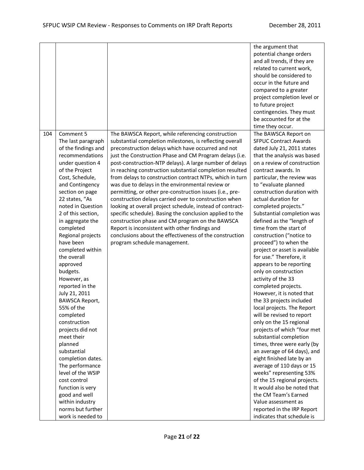|     |                                                                                                                                                                                                                                                                                                                                                                                                                                                                                                                                                                                                                                                                                                                                       |                                                                                                                                                                                                                                                                                                                                                                                                                                                                                                                                                                                                                                                                                                                                                                                                                                                                                                                     | the argument that<br>potential change orders<br>and all trends, if they are<br>related to current work,<br>should be considered to<br>occur in the future and<br>compared to a greater<br>project completion level or<br>to future project<br>contingencies. They must<br>be accounted for at the<br>time they occur.                                                                                                                                                                                                                                                                                                                                                                                                                                                                                                                                                                                                                                                                                                                                                                                                                                 |
|-----|---------------------------------------------------------------------------------------------------------------------------------------------------------------------------------------------------------------------------------------------------------------------------------------------------------------------------------------------------------------------------------------------------------------------------------------------------------------------------------------------------------------------------------------------------------------------------------------------------------------------------------------------------------------------------------------------------------------------------------------|---------------------------------------------------------------------------------------------------------------------------------------------------------------------------------------------------------------------------------------------------------------------------------------------------------------------------------------------------------------------------------------------------------------------------------------------------------------------------------------------------------------------------------------------------------------------------------------------------------------------------------------------------------------------------------------------------------------------------------------------------------------------------------------------------------------------------------------------------------------------------------------------------------------------|-------------------------------------------------------------------------------------------------------------------------------------------------------------------------------------------------------------------------------------------------------------------------------------------------------------------------------------------------------------------------------------------------------------------------------------------------------------------------------------------------------------------------------------------------------------------------------------------------------------------------------------------------------------------------------------------------------------------------------------------------------------------------------------------------------------------------------------------------------------------------------------------------------------------------------------------------------------------------------------------------------------------------------------------------------------------------------------------------------------------------------------------------------|
| 104 | Comment 5<br>The last paragraph<br>of the findings and<br>recommendations<br>under question 4<br>of the Project<br>Cost, Schedule,<br>and Contingency<br>section on page<br>22 states, "As<br>noted in Question<br>2 of this section,<br>in aggregate the<br>completed<br>Regional projects<br>have been<br>completed within<br>the overall<br>approved<br>budgets.<br>However, as<br>reported in the<br>July 21, 2011<br><b>BAWSCA Report,</b><br>55% of the<br>completed<br>construction<br>projects did not<br>meet their<br>planned<br>substantial<br>completion dates.<br>The performance<br>level of the WSIP<br>cost control<br>function is very<br>good and well<br>within industry<br>norms but further<br>work is needed to | The BAWSCA Report, while referencing construction<br>substantial completion milestones, is reflecting overall<br>preconstruction delays which have occurred and not<br>just the Construction Phase and CM Program delays (i.e.<br>post-construction-NTP delays). A large number of delays<br>in reaching construction substantial completion resulted<br>from delays to construction contract NTPs, which in turn<br>was due to delays in the environmental review or<br>permitting, or other pre-construction issues (i.e., pre-<br>construction delays carried over to construction when<br>looking at overall project schedule, instead of contract-<br>specific schedule). Basing the conclusion applied to the<br>construction phase and CM program on the BAWSCA<br>Report is inconsistent with other findings and<br>conclusions about the effectiveness of the construction<br>program schedule management. | The BAWSCA Report on<br><b>SFPUC Contract Awards</b><br>dated July 21, 2011 states<br>that the analysis was based<br>on a review of construction<br>contract awards. In<br>particular, the review was<br>to "evaluate planned<br>construction duration with<br>actual duration for<br>completed projects."<br>Substantial completion was<br>defined as the "length of<br>time from the start of<br>construction ("notice to<br>proceed") to when the<br>project or asset is available<br>for use." Therefore, it<br>appears to be reporting<br>only on construction<br>activity of the 33<br>completed projects.<br>However, it is noted that<br>the 33 projects included<br>local projects. The Report<br>will be revised to report<br>only on the 15 regional<br>projects of which "four met<br>substantial completion<br>times, three were early (by<br>an average of 64 days), and<br>eight finished late by an<br>average of 110 days or 15<br>weeks" representing 53%<br>of the 15 regional projects.<br>It would also be noted that<br>the CM Team's Earned<br>Value assessment as<br>reported in the IRP Report<br>indicates that schedule is |